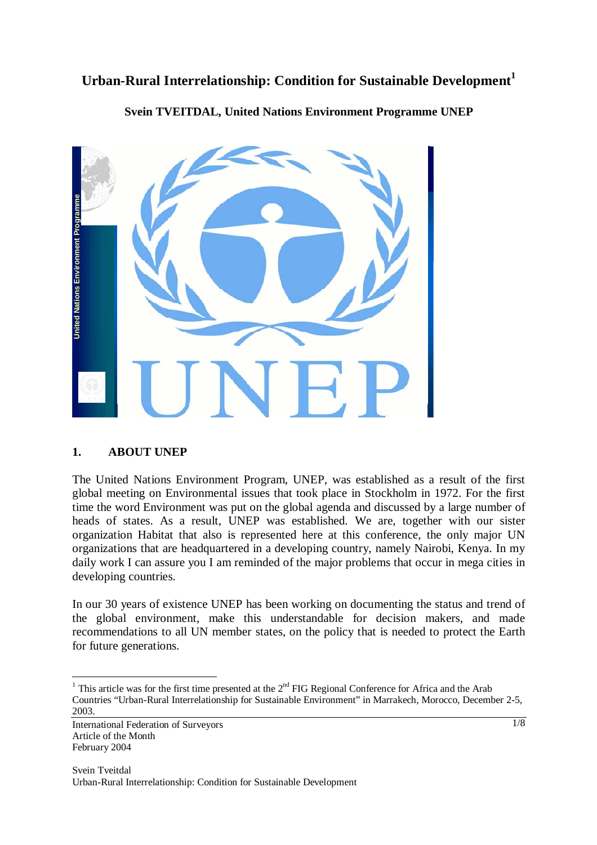# **Urban-Rural Interrelationship: Condition for Sustainable Development<sup>1</sup>**



**Svein TVEITDAL, United Nations Environment Programme UNEP** 

## **1. ABOUT UNEP**

The United Nations Environment Program, UNEP, was established as a result of the first global meeting on Environmental issues that took place in Stockholm in 1972. For the first time the word Environment was put on the global agenda and discussed by a large number of heads of states. As a result, UNEP was established. We are, together with our sister organization Habitat that also is represented here at this conference, the only major UN organizations that are headquartered in a developing country, namely Nairobi, Kenya. In my daily work I can assure you I am reminded of the major problems that occur in mega cities in developing countries.

In our 30 years of existence UNEP has been working on documenting the status and trend of the global environment, make this understandable for decision makers, and made recommendations to all UN member states, on the policy that is needed to protect the Earth for future generations.

<sup>&</sup>lt;sup>1</sup> This article was for the first time presented at the 2<sup>nd</sup> FIG Regional Conference for Africa and the Arab Countries "Urban-Rural Interrelationship for Sustainable Environment" in Marrakech, Morocco, December 2-5, 2003.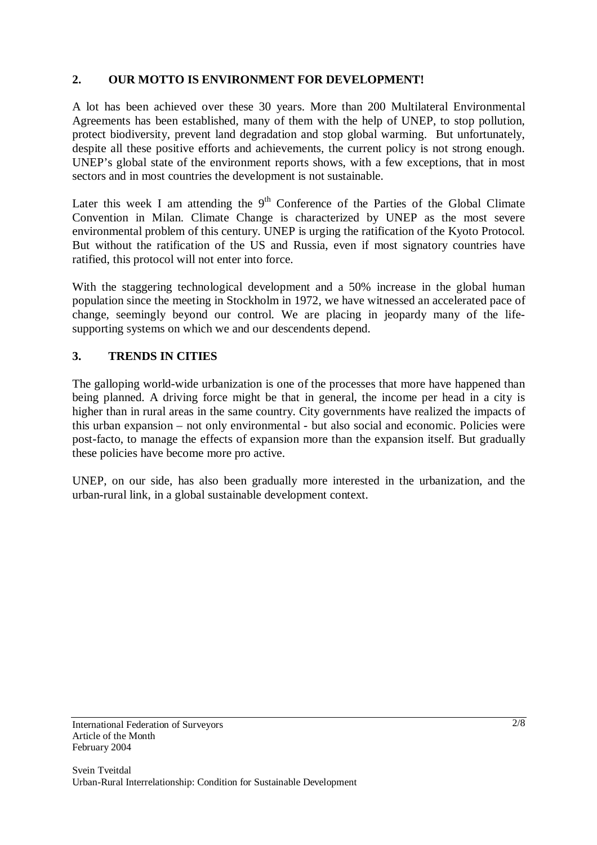## **2. OUR MOTTO IS ENVIRONMENT FOR DEVELOPMENT!**

A lot has been achieved over these 30 years. More than 200 Multilateral Environmental Agreements has been established, many of them with the help of UNEP, to stop pollution, protect biodiversity, prevent land degradation and stop global warming. But unfortunately, despite all these positive efforts and achievements, the current policy is not strong enough. UNEP's global state of the environment reports shows, with a few exceptions, that in most sectors and in most countries the development is not sustainable.

Later this week I am attending the  $9<sup>th</sup>$  Conference of the Parties of the Global Climate Convention in Milan. Climate Change is characterized by UNEP as the most severe environmental problem of this century. UNEP is urging the ratification of the Kyoto Protocol. But without the ratification of the US and Russia, even if most signatory countries have ratified, this protocol will not enter into force.

With the staggering technological development and a 50% increase in the global human population since the meeting in Stockholm in 1972, we have witnessed an accelerated pace of change, seemingly beyond our control. We are placing in jeopardy many of the lifesupporting systems on which we and our descendents depend.

## **3. TRENDS IN CITIES**

The galloping world-wide urbanization is one of the processes that more have happened than being planned. A driving force might be that in general, the income per head in a city is higher than in rural areas in the same country. City governments have realized the impacts of this urban expansion – not only environmental - but also social and economic. Policies were post-facto, to manage the effects of expansion more than the expansion itself. But gradually these policies have become more pro active.

UNEP, on our side, has also been gradually more interested in the urbanization, and the urban-rural link, in a global sustainable development context.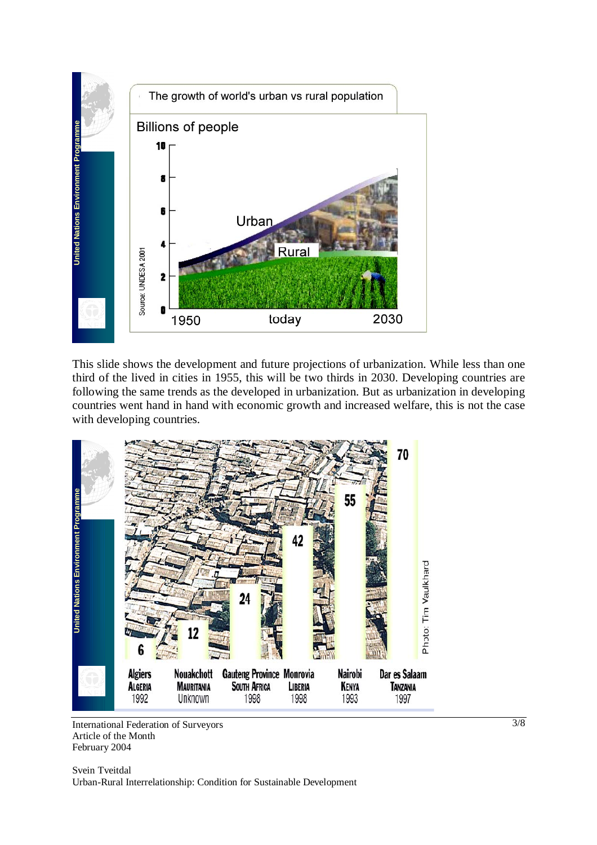

This slide shows the development and future projections of urbanization. While less than one third of the lived in cities in 1955, this will be two thirds in 2030. Developing countries are following the same trends as the developed in urbanization. But as urbanization in developing countries went hand in hand with economic growth and increased welfare, this is not the case with developing countries.



International Federation of Surveyors Article of the Month February 2004

3/8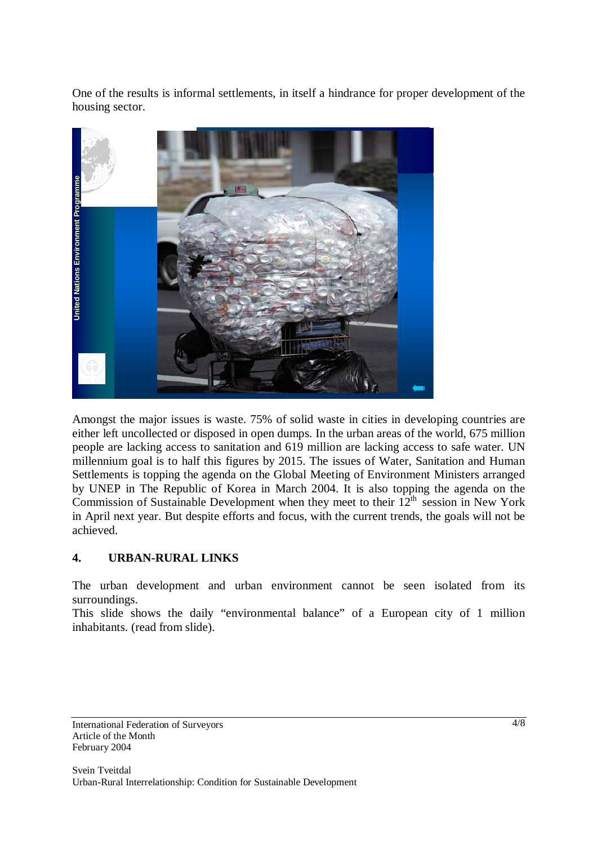One of the results is informal settlements, in itself a hindrance for proper development of the housing sector.



Amongst the major issues is waste. 75% of solid waste in cities in developing countries are either left uncollected or disposed in open dumps. In the urban areas of the world, 675 million people are lacking access to sanitation and 619 million are lacking access to safe water. UN millennium goal is to half this figures by 2015. The issues of Water, Sanitation and Human Settlements is topping the agenda on the Global Meeting of Environment Ministers arranged by UNEP in The Republic of Korea in March 2004. It is also topping the agenda on the Commission of Sustainable Development when they meet to their  $12<sup>th</sup>$  session in New York in April next year. But despite efforts and focus, with the current trends, the goals will not be achieved.

#### **4. URBAN-RURAL LINKS**

The urban development and urban environment cannot be seen isolated from its surroundings.

This slide shows the daily "environmental balance" of a European city of 1 million inhabitants. (read from slide).

International Federation of Surveyors Article of the Month February 2004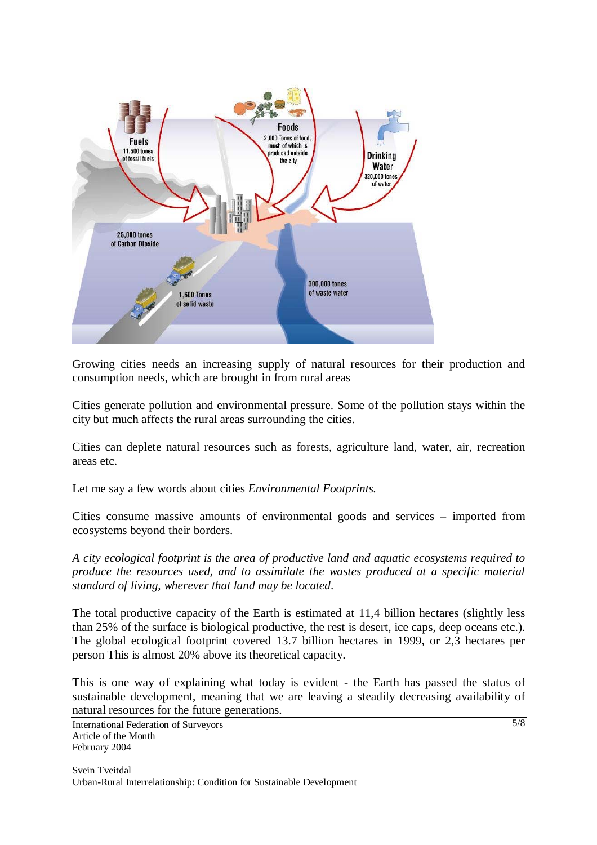

Growing cities needs an increasing supply of natural resources for their production and consumption needs, which are brought in from rural areas

Cities generate pollution and environmental pressure. Some of the pollution stays within the city but much affects the rural areas surrounding the cities.

Cities can deplete natural resources such as forests, agriculture land, water, air, recreation areas etc.

Let me say a few words about cities *Environmental Footprints.* 

Cities consume massive amounts of environmental goods and services – imported from ecosystems beyond their borders.

*A city ecological footprint is the area of productive land and aquatic ecosystems required to produce the resources used, and to assimilate the wastes produced at a specific material standard of living, wherever that land may be located*.

The total productive capacity of the Earth is estimated at 11,4 billion hectares (slightly less than 25% of the surface is biological productive, the rest is desert, ice caps, deep oceans etc.). The global ecological footprint covered 13.7 billion hectares in 1999, or 2,3 hectares per person This is almost 20% above its theoretical capacity.

This is one way of explaining what today is evident - the Earth has passed the status of sustainable development, meaning that we are leaving a steadily decreasing availability of natural resources for the future generations.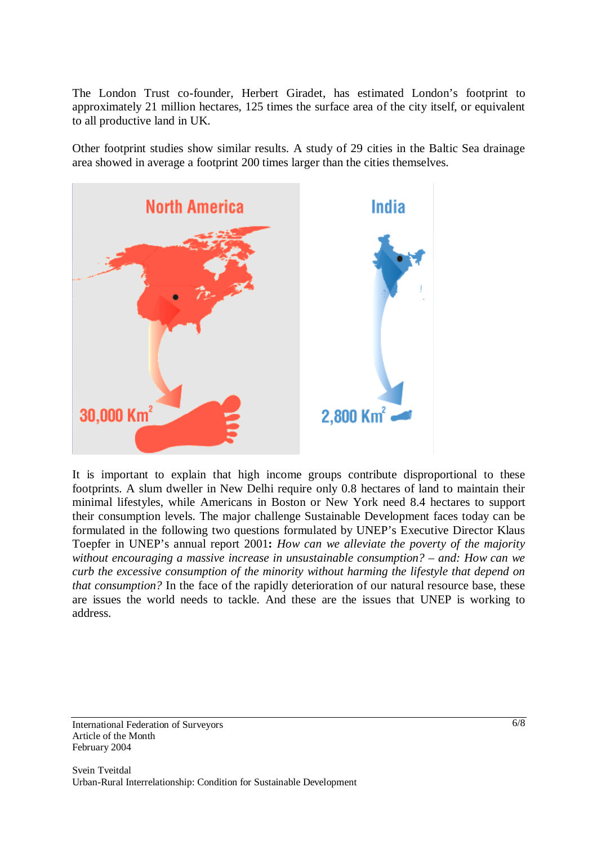The London Trust co-founder, Herbert Giradet, has estimated London's footprint to approximately 21 million hectares, 125 times the surface area of the city itself, or equivalent to all productive land in UK.

Other footprint studies show similar results. A study of 29 cities in the Baltic Sea drainage area showed in average a footprint 200 times larger than the cities themselves.



It is important to explain that high income groups contribute disproportional to these footprints. A slum dweller in New Delhi require only 0.8 hectares of land to maintain their minimal lifestyles, while Americans in Boston or New York need 8.4 hectares to support their consumption levels. The major challenge Sustainable Development faces today can be formulated in the following two questions formulated by UNEP's Executive Director Klaus Toepfer in UNEP's annual report 2001**:** *How can we alleviate the poverty of the majority without encouraging a massive increase in unsustainable consumption? – and: How can we curb the excessive consumption of the minority without harming the lifestyle that depend on that consumption?* In the face of the rapidly deterioration of our natural resource base, these are issues the world needs to tackle. And these are the issues that UNEP is working to address.

International Federation of Surveyors Article of the Month February 2004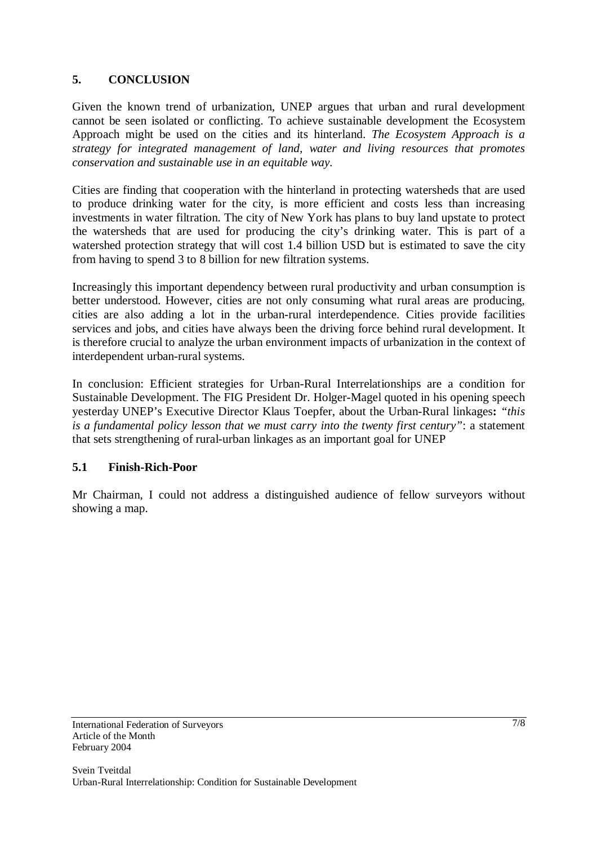## **5. CONCLUSION**

Given the known trend of urbanization, UNEP argues that urban and rural development cannot be seen isolated or conflicting. To achieve sustainable development the Ecosystem Approach might be used on the cities and its hinterland. *The Ecosystem Approach is a strategy for integrated management of land, water and living resources that promotes conservation and sustainable use in an equitable way.* 

Cities are finding that cooperation with the hinterland in protecting watersheds that are used to produce drinking water for the city, is more efficient and costs less than increasing investments in water filtration. The city of New York has plans to buy land upstate to protect the watersheds that are used for producing the city's drinking water. This is part of a watershed protection strategy that will cost 1.4 billion USD but is estimated to save the city from having to spend 3 to 8 billion for new filtration systems.

Increasingly this important dependency between rural productivity and urban consumption is better understood. However, cities are not only consuming what rural areas are producing, cities are also adding a lot in the urban-rural interdependence. Cities provide facilities services and jobs, and cities have always been the driving force behind rural development. It is therefore crucial to analyze the urban environment impacts of urbanization in the context of interdependent urban-rural systems.

In conclusion: Efficient strategies for Urban-Rural Interrelationships are a condition for Sustainable Development. The FIG President Dr. Holger-Magel quoted in his opening speech yesterday UNEP's Executive Director Klaus Toepfer, about the Urban-Rural linkages**:** *"this is a fundamental policy lesson that we must carry into the twenty first century"*: a statement that sets strengthening of rural-urban linkages as an important goal for UNEP

#### **5.1 Finish-Rich-Poor**

Mr Chairman, I could not address a distinguished audience of fellow surveyors without showing a map.